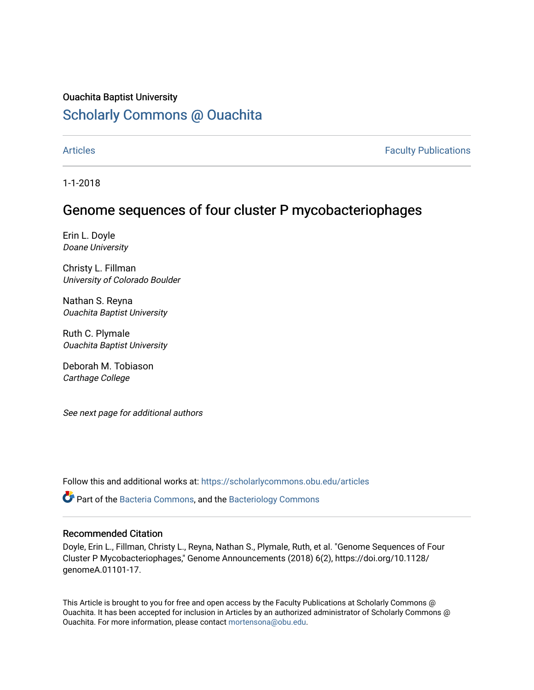### Ouachita Baptist University

# [Scholarly Commons @ Ouachita](https://scholarlycommons.obu.edu/)

[Articles](https://scholarlycommons.obu.edu/articles) **Faculty Publications** 

1-1-2018

## Genome sequences of four cluster P mycobacteriophages

Erin L. Doyle Doane University

Christy L. Fillman University of Colorado Boulder

Nathan S. Reyna Ouachita Baptist University

Ruth C. Plymale Ouachita Baptist University

Deborah M. Tobiason Carthage College

See next page for additional authors

Follow this and additional works at: [https://scholarlycommons.obu.edu/articles](https://scholarlycommons.obu.edu/articles?utm_source=scholarlycommons.obu.edu%2Farticles%2F335&utm_medium=PDF&utm_campaign=PDFCoverPages) 

 $\bullet$  Part of the [Bacteria Commons,](http://network.bepress.com/hgg/discipline/985?utm_source=scholarlycommons.obu.edu%2Farticles%2F335&utm_medium=PDF&utm_campaign=PDFCoverPages) and the Bacteriology Commons

#### Recommended Citation

Doyle, Erin L., Fillman, Christy L., Reyna, Nathan S., Plymale, Ruth, et al. "Genome Sequences of Four Cluster P Mycobacteriophages," Genome Announcements (2018) 6(2), https://doi.org/10.1128/ genomeA.01101-17.

This Article is brought to you for free and open access by the Faculty Publications at Scholarly Commons @ Ouachita. It has been accepted for inclusion in Articles by an authorized administrator of Scholarly Commons @ Ouachita. For more information, please contact [mortensona@obu.edu](mailto:mortensona@obu.edu).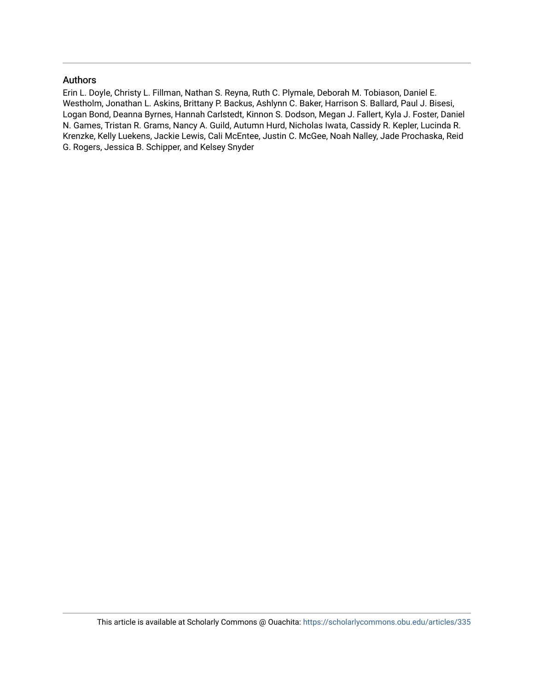#### Authors

Erin L. Doyle, Christy L. Fillman, Nathan S. Reyna, Ruth C. Plymale, Deborah M. Tobiason, Daniel E. Westholm, Jonathan L. Askins, Brittany P. Backus, Ashlynn C. Baker, Harrison S. Ballard, Paul J. Bisesi, Logan Bond, Deanna Byrnes, Hannah Carlstedt, Kinnon S. Dodson, Megan J. Fallert, Kyla J. Foster, Daniel N. Games, Tristan R. Grams, Nancy A. Guild, Autumn Hurd, Nicholas Iwata, Cassidy R. Kepler, Lucinda R. Krenzke, Kelly Luekens, Jackie Lewis, Cali McEntee, Justin C. McGee, Noah Nalley, Jade Prochaska, Reid G. Rogers, Jessica B. Schipper, and Kelsey Snyder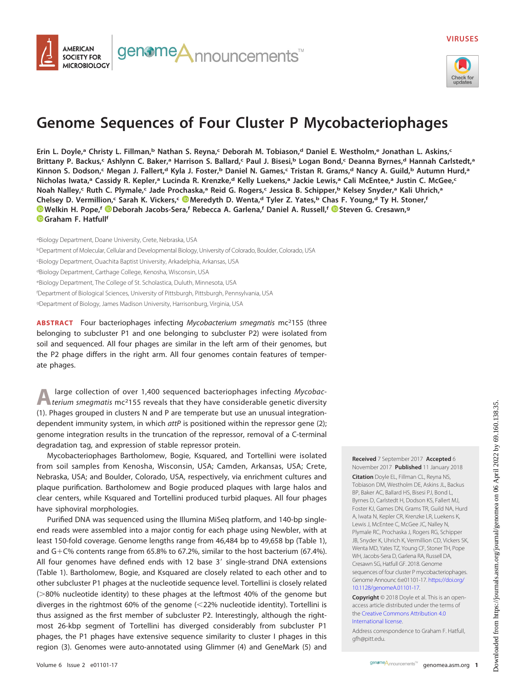



# **Genome Sequences of Four Cluster P Mycobacteriophages**

**Erin L. Doyle,a Christy L. Fillman,b Nathan S. Reyna,c Deborah M. Tobiason,d Daniel E. Westholm,e Jonathan L. Askins,c** Brittany P. Backus,<sup>c</sup> Ashlynn C. Baker,<sup>a</sup> Harrison S. Ballard,<sup>c</sup> Paul J. Bisesi,<sup>b</sup> Logan Bond,<sup>c</sup> Deanna Byrnes,<sup>d</sup> Hannah Carlstedt,<sup>a</sup> **Kinnon S. Dodson,c Megan J. Fallert,d Kyla J. Foster,b Daniel N. Games,c Tristan R. Grams,d Nancy A. Guild,b Autumn Hurd,a Nicholas Iwata,a Cassidy R. Kepler,a Lucinda R. Krenzke,d Kelly Luekens,a Jackie Lewis,a Cali McEntee,a Justin C. McGee,c Noah Nalley,c Ruth C. Plymale,c Jade Prochaska,a Reid G. Rogers,c Jessica B. Schipper,b Kelsey Snyder,a Kali Uhrich,a Chelsey D. Vermillion,c Sarah K. Vickers,c [Meredyth D. Wenta,](http://orcid.org/0000-0003-3969-038X)d Tyler Z. Yates,b Chas F. Young,d Ty H. Stoner,f [Welkin H. Pope,](http://orcid.org/0000-0002-2012-2924)f [Deborah Jacobs-Sera,](http://orcid.org/0000-0001-7838-3257)f Rebecca A. Garlena,f Daniel A. Russell,f [Steven G. Cresawn,](http://orcid.org/0000-0002-2162-562X)g [Graham F. Hatfullf](http://orcid.org/0000-0002-6705-6821)**

aBiology Department, Doane University, Crete, Nebraska, USA

<sup>b</sup>Department of Molecular, Cellular and Developmental Biology, University of Colorado, Boulder, Colorado, USA

c Biology Department, Ouachita Baptist University, Arkadelphia, Arkansas, USA

dBiology Department, Carthage College, Kenosha, Wisconsin, USA

<sup>e</sup>Biology Department, The College of St. Scholastica, Duluth, Minnesota, USA

f Department of Biological Sciences, University of Pittsburgh, Pittsburgh, Pennsylvania, USA

<sup>g</sup>Department of Biology, James Madison University, Harrisonburg, Virginia, USA

**ABSTRACT** Four bacteriophages infecting Mycobacterium smegmatis mc<sup>2</sup>155 (three belonging to subcluster P1 and one belonging to subcluster P2) were isolated from soil and sequenced. All four phages are similar in the left arm of their genomes, but the P2 phage differs in the right arm. All four genomes contain features of temperate phages.

A large collection of over 1,400 sequenced bacteriophages infecting Mycobac-<br>terium smegmatis mc<sup>2</sup>155 reveals that they have considerable genetic diversity [\(1\)](#page-3-0). Phages grouped in clusters N and P are temperate but use an unusual integration-dependent immunity system, in which attP is positioned within the repressor gene [\(2\)](#page-3-1); genome integration results in the truncation of the repressor, removal of a C-terminal degradation tag, and expression of stable repressor protein.

Mycobacteriophages Bartholomew, Bogie, Ksquared, and Tortellini were isolated from soil samples from Kenosha, Wisconsin, USA; Camden, Arkansas, USA; Crete, Nebraska, USA; and Boulder, Colorado, USA, respectively, via enrichment cultures and plaque purification. Bartholomew and Bogie produced plaques with large halos and clear centers, while Ksquared and Tortellini produced turbid plaques. All four phages have siphoviral morphologies.

Purified DNA was sequenced using the Illumina MiSeq platform, and 140-bp singleend reads were assembled into a major contig for each phage using Newbler, with at least 150-fold coverage. Genome lengths range from 46,484 bp to 49,658 bp [\(Table 1\)](#page-3-2), and G-C% contents range from 65.8% to 67.2%, similar to the host bacterium (67.4%). All four genomes have defined ends with 12 base 3' single-strand DNA extensions [\(Table 1\)](#page-3-2). Bartholomew, Bogie, and Ksquared are closely related to each other and to other subcluster P1 phages at the nucleotide sequence level. Tortellini is closely related (>80% nucleotide identity) to these phages at the leftmost 40% of the genome but diverges in the rightmost 60% of the genome (22% nucleotide identity). Tortellini is thus assigned as the first member of subcluster P2. Interestingly, although the rightmost 26-kbp segment of Tortellini has diverged considerably from subcluster P1 phages, the P1 phages have extensive sequence similarity to cluster I phages in this region [\(3\)](#page-3-3). Genomes were auto-annotated using Glimmer [\(4\)](#page-3-4) and GeneMark [\(5\)](#page-3-5) and **Received** 7 September 2017 **Accepted** 6 November 2017 **Published** 11 January 2018

**Citation** Doyle EL, Fillman CL, Reyna NS, Tobiason DM, Westholm DE, Askins JL, Backus BP, Baker AC, Ballard HS, Bisesi PJ, Bond L, Byrnes D, Carlstedt H, Dodson KS, Fallert MJ, Foster KJ, Games DN, Grams TR, Guild NA, Hurd A, Iwata N, Kepler CR, Krenzke LR, Luekens K, Lewis J, McEntee C, McGee JC, Nalley N, Plymale RC, Prochaska J, Rogers RG, Schipper JB, Snyder K, Uhrich K, Vermillion CD, Vickers SK, Wenta MD, Yates TZ, Young CF, Stoner TH, Pope WH, Jacobs-Sera D, Garlena RA, Russell DA, Cresawn SG, Hatfull GF. 2018. Genome sequences of four cluster P mycobacteriophages. Genome Announc 6:e01101-17. [https://doi.org/](https://doi.org/10.1128/genomeA.01101-17) [10.1128/genomeA.01101-17.](https://doi.org/10.1128/genomeA.01101-17)

**Copyright** © 2018 Doyle et al. This is an openaccess article distributed under the terms of the [Creative Commons Attribution 4.0](https://creativecommons.org/licenses/by/4.0/) [International license.](https://creativecommons.org/licenses/by/4.0/)

Address correspondence to Graham F. Hatfull, [gfh@pitt.edu.](mailto:gfh@pitt.edu)